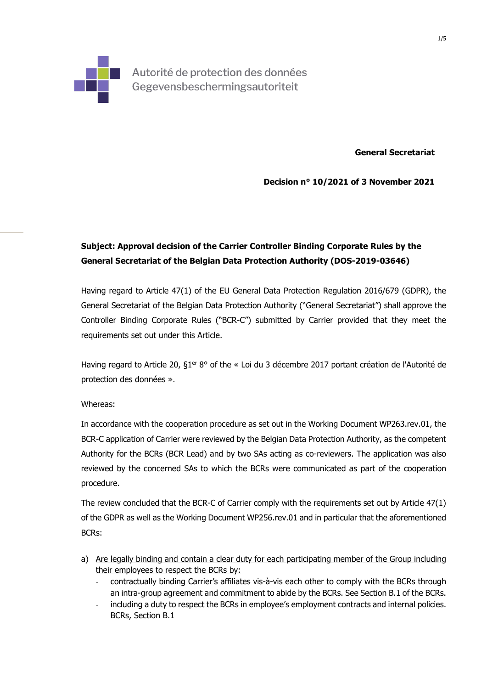

Autorité de protection des données Gegevensbeschermingsautoriteit

**General Secretariat** 

**Decision n° 10/2021 of 3 November 2021** 

## **Subject: Approval decision of the Carrier Controller Binding Corporate Rules by the General Secretariat of the Belgian Data Protection Authority (DOS-2019-03646)**

Having regard to Article 47(1) of the EU General Data Protection Regulation 2016/679 (GDPR), the General Secretariat of the Belgian Data Protection Authority ("General Secretariat") shall approve the Controller Binding Corporate Rules ("BCR-C") submitted by Carrier provided that they meet the requirements set out under this Article.

Having regard to Article 20, §1<sup>er</sup> 8° of the « Loi du 3 décembre 2017 portant création de l'Autorité de protection des données ».

## Whereas:

In accordance with the cooperation procedure as set out in the Working Document WP263.rev.01, the BCR-C application of Carrier were reviewed by the Belgian Data Protection Authority, as the competent Authority for the BCRs (BCR Lead) and by two SAs acting as co-reviewers. The application was also reviewed by the concerned SAs to which the BCRs were communicated as part of the cooperation procedure.

The review concluded that the BCR-C of Carrier comply with the requirements set out by Article 47(1) of the GDPR as well as the Working Document WP256.rev.01 and in particular that the aforementioned BCRs:

- a) Are legally binding and contain a clear duty for each participating member of the Group including their employees to respect the BCRs by:
	- contractually binding Carrier's affiliates vis-à-vis each other to comply with the BCRs through an intra-group agreement and commitment to abide by the BCRs. See Section B.1 of the BCRs.
	- including a duty to respect the BCRs in employee's employment contracts and internal policies. BCRs, Section B.1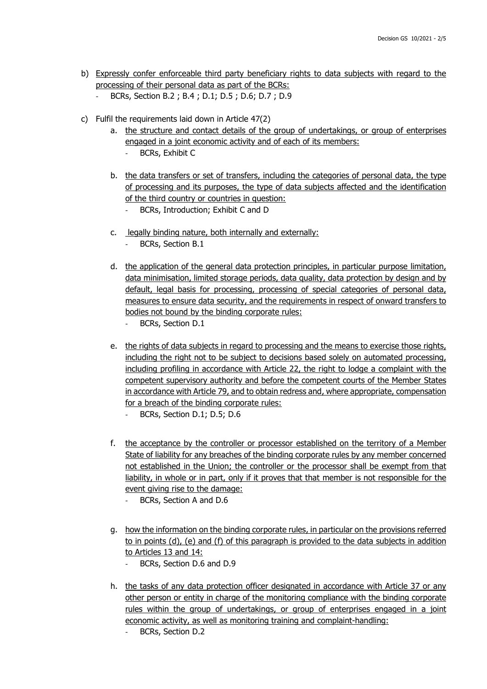- b) Expressly confer enforceable third party beneficiary rights to data subjects with regard to the processing of their personal data as part of the BCRs:
	- BCRs, Section B.2 ; B.4 ; D.1; D.5 ; D.6; D.7 ; D.9
- c) Fulfil the requirements laid down in Article 47(2)
	- a. the structure and contact details of the group of undertakings, or group of enterprises engaged in a joint economic activity and of each of its members:
		- BCRs, Exhibit C
	- b. the data transfers or set of transfers, including the categories of personal data, the type of processing and its purposes, the type of data subjects affected and the identification of the third country or countries in question:
		- BCRs, Introduction; Exhibit C and D
	- c. legally binding nature, both internally and externally:
		- BCRs, Section B.1
	- d. the application of the general data protection principles, in particular purpose limitation, data minimisation, limited storage periods, data quality, data protection by design and by default, legal basis for processing, processing of special categories of personal data, measures to ensure data security, and the requirements in respect of onward transfers to bodies not bound by the binding corporate rules:
		- BCRs, Section D.1
	- e. the rights of data subjects in regard to processing and the means to exercise those rights, including the right not to be subject to decisions based solely on automated processing, including profiling in accordance with Article 22, the right to lodge a complaint with the competent supervisory authority and before the competent courts of the Member States in accordance with Article 79, and to obtain redress and, where appropriate, compensation for a breach of the binding corporate rules:
		- BCRs, Section D.1; D.5; D.6
	- f. the acceptance by the controller or processor established on the territory of a Member State of liability for any breaches of the binding corporate rules by any member concerned not established in the Union; the controller or the processor shall be exempt from that liability, in whole or in part, only if it proves that that member is not responsible for the event giving rise to the damage:
		- BCRs, Section A and D.6
	- g. how the information on the binding corporate rules, in particular on the provisions referred to in points (d), (e) and (f) of this paragraph is provided to the data subjects in addition to Articles 13 and 14:
		- BCRs, Section D.6 and D.9
	- h. the tasks of any data protection officer designated in accordance with Article 37 or any other person or entity in charge of the monitoring compliance with the binding corporate rules within the group of undertakings, or group of enterprises engaged in a joint economic activity, as well as monitoring training and complaint-handling:
		- BCRs, Section D.2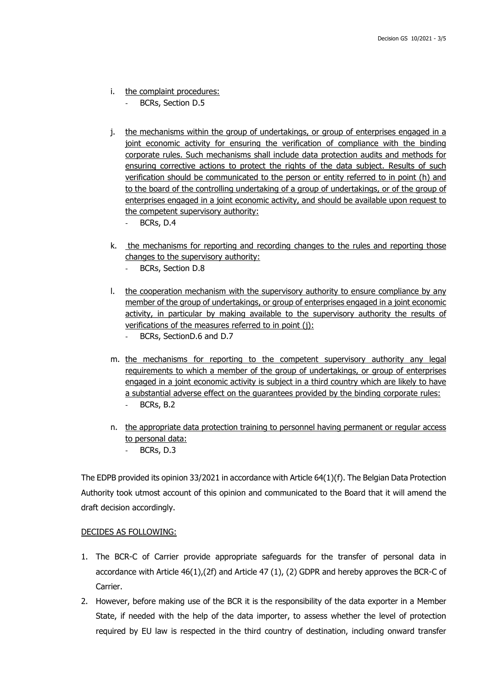- i. the complaint procedures:
	- BCRs, Section D.5
- j. the mechanisms within the group of undertakings, or group of enterprises engaged in a joint economic activity for ensuring the verification of compliance with the binding corporate rules. Such mechanisms shall include data protection audits and methods for ensuring corrective actions to protect the rights of the data subject. Results of such verification should be communicated to the person or entity referred to in point (h) and to the board of the controlling undertaking of a group of undertakings, or of the group of enterprises engaged in a joint economic activity, and should be available upon request to the competent supervisory authority:
	- BCRs, D.4
- k. the mechanisms for reporting and recording changes to the rules and reporting those changes to the supervisory authority:
	- BCRs, Section D.8
- l. the cooperation mechanism with the supervisory authority to ensure compliance by any member of the group of undertakings, or group of enterprises engaged in a joint economic activity, in particular by making available to the supervisory authority the results of verifications of the measures referred to in point (j):
	- BCRs, SectionD.6 and D.7
- m. the mechanisms for reporting to the competent supervisory authority any legal requirements to which a member of the group of undertakings, or group of enterprises engaged in a joint economic activity is subject in a third country which are likely to have a substantial adverse effect on the guarantees provided by the binding corporate rules: BCRs, B.2
- n. the appropriate data protection training to personnel having permanent or regular access to personal data:
	- BCRs, D.3

The EDPB provided its opinion 33/2021 in accordance with Article 64(1)(f). The Belgian Data Protection Authority took utmost account of this opinion and communicated to the Board that it will amend the draft decision accordingly.

## DECIDES AS FOLLOWING:

- 1. The BCR-C of Carrier provide appropriate safeguards for the transfer of personal data in accordance with Article 46(1),(2f) and Article 47 (1), (2) GDPR and hereby approves the BCR-C of Carrier.
- 2. However, before making use of the BCR it is the responsibility of the data exporter in a Member State, if needed with the help of the data importer, to assess whether the level of protection required by EU law is respected in the third country of destination, including onward transfer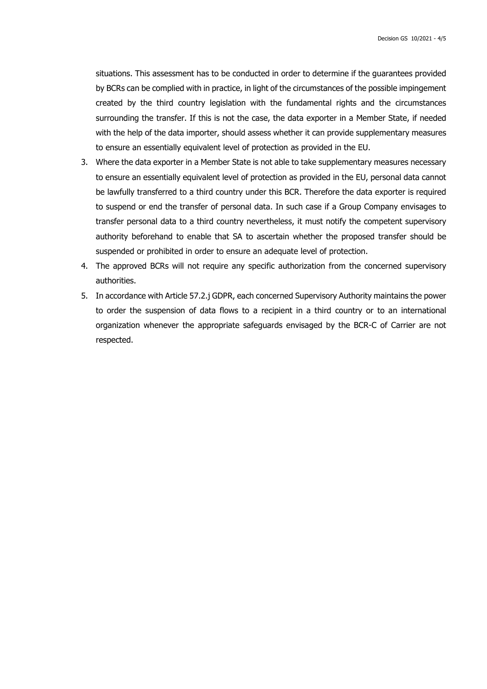situations. This assessment has to be conducted in order to determine if the guarantees provided by BCRs can be complied with in practice, in light of the circumstances of the possible impingement created by the third country legislation with the fundamental rights and the circumstances surrounding the transfer. If this is not the case, the data exporter in a Member State, if needed with the help of the data importer, should assess whether it can provide supplementary measures to ensure an essentially equivalent level of protection as provided in the EU.

- 3. Where the data exporter in a Member State is not able to take supplementary measures necessary to ensure an essentially equivalent level of protection as provided in the EU, personal data cannot be lawfully transferred to a third country under this BCR. Therefore the data exporter is required to suspend or end the transfer of personal data. In such case if a Group Company envisages to transfer personal data to a third country nevertheless, it must notify the competent supervisory authority beforehand to enable that SA to ascertain whether the proposed transfer should be suspended or prohibited in order to ensure an adequate level of protection.
- 4. The approved BCRs will not require any specific authorization from the concerned supervisory authorities.
- 5. In accordance with Article 57.2.j GDPR, each concerned Supervisory Authority maintains the power to order the suspension of data flows to a recipient in a third country or to an international organization whenever the appropriate safeguards envisaged by the BCR-C of Carrier are not respected.